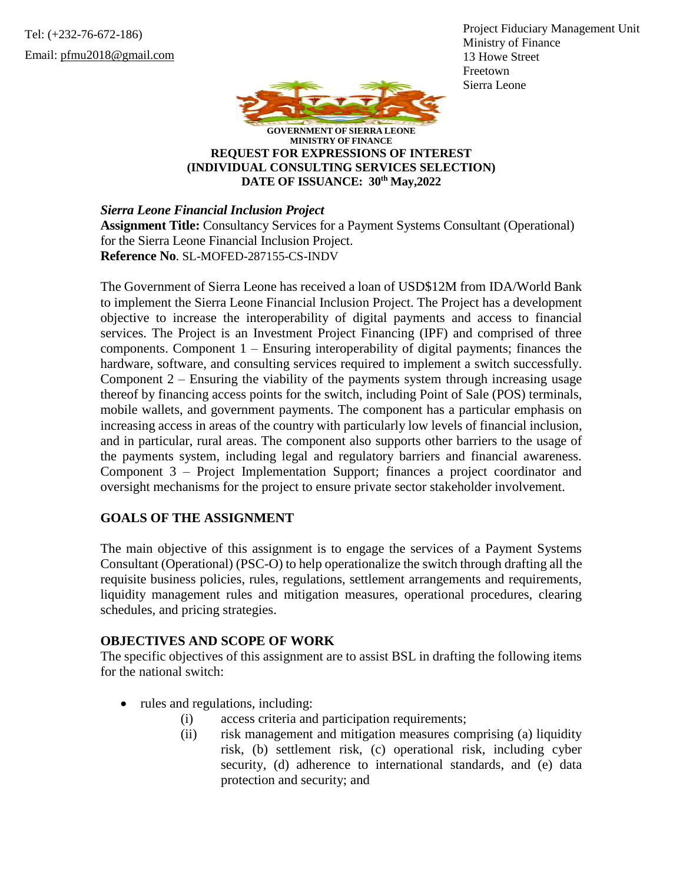Tel: (+232-76-672-186) Email: pfmu2018@gmail.com Project Fiduciary Management Unit Ministry of Finance 13 Howe Street Freetown Sierra Leone



**GOVERNMENT OF SIERRA LEONE MINISTRY OF FINANCE REQUEST FOR EXPRESSIONS OF INTEREST (INDIVIDUAL CONSULTING SERVICES SELECTION) DATE OF ISSUANCE: 30th May,2022**

*Sierra Leone Financial Inclusion Project*

**Assignment Title:** Consultancy Services for a Payment Systems Consultant (Operational) for the Sierra Leone Financial Inclusion Project. **Reference No**. SL-MOFED-287155-CS-INDV

The Government of Sierra Leone has received a loan of USD\$12M from IDA/World Bank to implement the Sierra Leone Financial Inclusion Project. The Project has a development objective to increase the interoperability of digital payments and access to financial services. The Project is an Investment Project Financing (IPF) and comprised of three components. Component 1 – Ensuring interoperability of digital payments; finances the hardware, software, and consulting services required to implement a switch successfully. Component  $2$  – Ensuring the viability of the payments system through increasing usage thereof by financing access points for the switch, including Point of Sale (POS) terminals, mobile wallets, and government payments. The component has a particular emphasis on increasing access in areas of the country with particularly low levels of financial inclusion, and in particular, rural areas. The component also supports other barriers to the usage of the payments system, including legal and regulatory barriers and financial awareness. Component 3 – Project Implementation Support; finances a project coordinator and oversight mechanisms for the project to ensure private sector stakeholder involvement.

## **GOALS OF THE ASSIGNMENT**

The main objective of this assignment is to engage the services of a Payment Systems Consultant (Operational) (PSC-O) to help operationalize the switch through drafting all the requisite business policies, rules, regulations, settlement arrangements and requirements, liquidity management rules and mitigation measures, operational procedures, clearing schedules, and pricing strategies.

## **OBJECTIVES AND SCOPE OF WORK**

The specific objectives of this assignment are to assist BSL in drafting the following items for the national switch:

- rules and regulations, including:
	- (i) access criteria and participation requirements;
	- (ii) risk management and mitigation measures comprising (a) liquidity risk, (b) settlement risk, (c) operational risk, including cyber security, (d) adherence to international standards, and (e) data protection and security; and